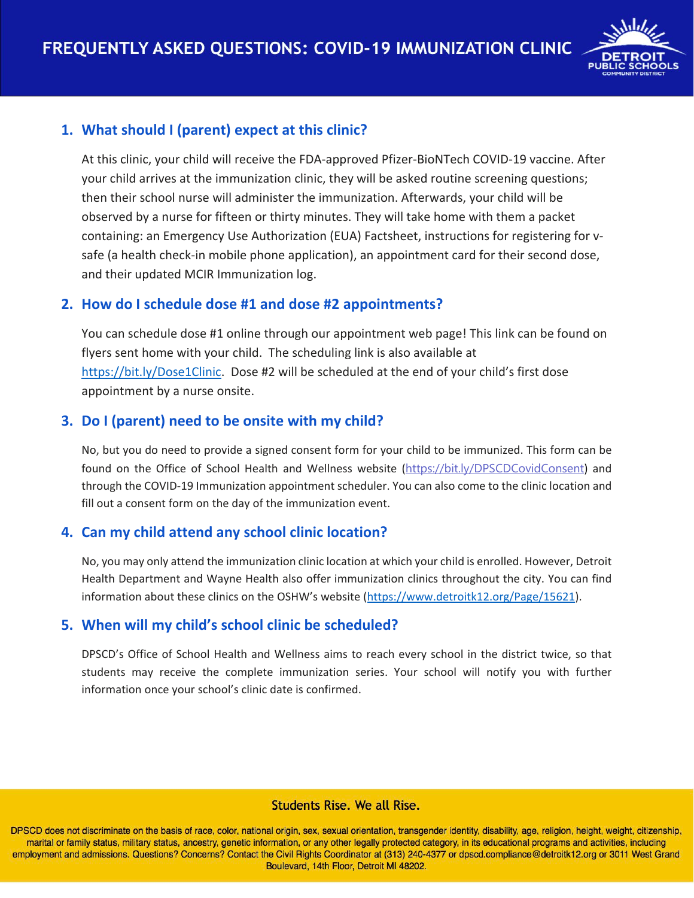

## **1. What should I (parent) expect at this clinic?**

At this clinic, your child will receive the FDA-approved Pfizer-BioNTech COVID-19 vaccine. After your child arrives at the immunization clinic, they will be asked routine screening questions; then their school nurse will administer the immunization. Afterwards, your child will be observed by a nurse for fifteen or thirty minutes. They will take home with them a packet containing: an Emergency Use Authorization (EUA) Factsheet, instructions for registering for vsafe (a health check-in mobile phone application), an appointment card for their second dose, and their updated MCIR Immunization log.

### **2. How do I schedule dose #1 and dose #2 appointments?**

You can schedule dose #1 online through our appointment web page! This link can be found on flyers sent home with your child. The scheduling link is also available at [https://bit.ly/Dose1Clinic.](https://bit.ly/Dose1Clinic) Dose #2 will be scheduled at the end of your child's first dose appointment by a nurse onsite.

# **3. Do I (parent) need to be onsite with my child?**

No, but you do need to provide a signed consent form for your child to be immunized. This form can be found on the Office of School Health and Wellness website (<https://bit.ly/DPSCDCovidConsent>) and through the COVID-19 Immunization appointment scheduler. You can also come to the clinic location and fill out a consent form on the day of the immunization event.

### **4. Can my child attend any school clinic location?**

No, you may only attend the immunization clinic location at which your child is enrolled. However, Detroit Health Department and Wayne Health also offer immunization clinics throughout the city. You can find information about these clinics on the OSHW's website [\(https://www.detroitk12.org/Page/15621\)](https://www.detroitk12.org/Page/15621).

### **5. When will my child's school clinic be scheduled?**

DPSCD's Office of School Health and Wellness aims to reach every school in the district twice, so that students may receive the complete immunization series. Your school will notify you with further information once your school's clinic date is confirmed.

### **Students Rise. We all Rise.**

DPSCD does not discriminate on the basis of race, color, national origin, sex, sexual orientation, transgender identity, disability, age, religion, height, weight, citizenship, marital or family status, military status, ancestry, genetic information, or any other legally protected category, in its educational programs and activities, including employment and admissions. Questions? Concerns? Contact the Civil Rights Coordinator at (313) 240-4377 or dpscd.compliance@detroitk12.org or 3011 West Grand Boulevard, 14th Floor, Detroit MI 48202.